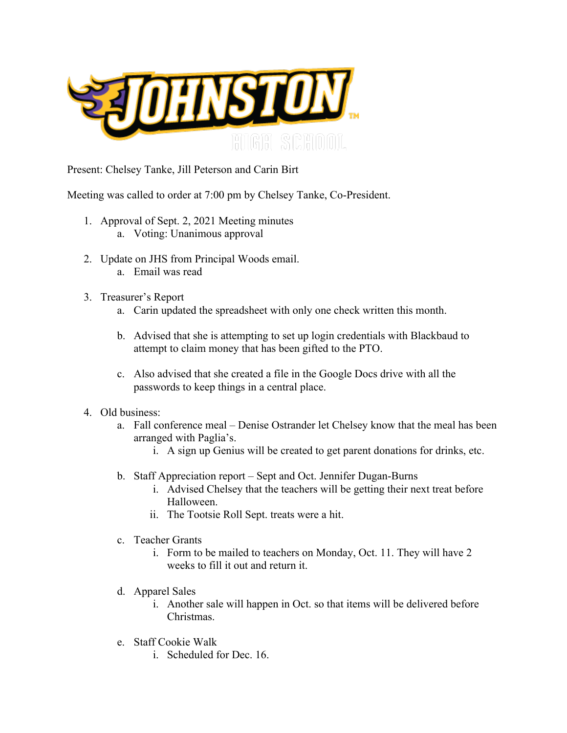

Present: Chelsey Tanke, Jill Peterson and Carin Birt

Meeting was called to order at 7:00 pm by Chelsey Tanke, Co-President.

- 1. Approval of Sept. 2, 2021 Meeting minutes
	- a. Voting: Unanimous approval
- 2. Update on JHS from Principal Woods email. a. Email was read
- 3. Treasurer's Report
	- a. Carin updated the spreadsheet with only one check written this month.
	- b. Advised that she is attempting to set up login credentials with Blackbaud to attempt to claim money that has been gifted to the PTO.
	- c. Also advised that she created a file in the Google Docs drive with all the passwords to keep things in a central place.
- 4. Old business:
	- a. Fall conference meal Denise Ostrander let Chelsey know that the meal has been arranged with Paglia's.
		- i. A sign up Genius will be created to get parent donations for drinks, etc.
	- b. Staff Appreciation report Sept and Oct. Jennifer Dugan-Burns
		- i. Advised Chelsey that the teachers will be getting their next treat before Halloween.
		- ii. The Tootsie Roll Sept. treats were a hit.
	- c. Teacher Grants
		- i. Form to be mailed to teachers on Monday, Oct. 11. They will have 2 weeks to fill it out and return it.
	- d. Apparel Sales
		- i. Another sale will happen in Oct. so that items will be delivered before Christmas.
	- e. Staff Cookie Walk
		- i. Scheduled for Dec. 16.